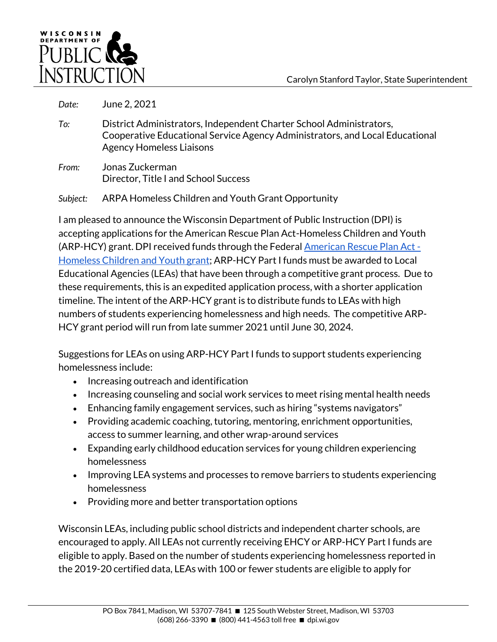

*Date:* June 2, 2021

- *To:* District Administrators, Independent Charter School Administrators, Cooperative Educational Service Agency Administrators, and Local Educational Agency Homeless Liaisons
- *From:* Jonas Zuckerman Director, Title I and School Success

*Subject:* ARPA Homeless Children and Youth Grant Opportunity

I am pleased to announce the Wisconsin Department of Public Instruction (DPI) is accepting applications for the American Rescue Plan Act-Homeless Children and Youth (ARP-HCY) grant. DPI received funds through the Federal [American Rescue Plan Act -](https://oese.ed.gov/offices/american-rescue-plan/american-rescue-plan-elementary-secondary-school-emergency-relief-homeless-children-youth-arp-hcy/) [Homeless Children and Youth grant; A](https://oese.ed.gov/offices/american-rescue-plan/american-rescue-plan-elementary-secondary-school-emergency-relief-homeless-children-youth-arp-hcy/)RP-HCY Part I funds must be awarded to Local Educational Agencies (LEAs) that have been through a competitive grant process. Due to these requirements, this is an expedited application process, with a shorter application timeline. The intent of the ARP-HCY grant is to distribute funds to LEAs with high numbers of students experiencing homelessness and high needs. The competitive ARP-HCY grant period will run from late summer 2021 until June 30, 2024.

Suggestions for LEAs on using ARP-HCY Part I funds to support students experiencing homelessness include:

- Increasing outreach and identification
- Increasing counseling and social work services to meet rising mental health needs
- Enhancing family engagement services, such as hiring "systems navigators"
- Providing academic coaching, tutoring, mentoring, enrichment opportunities, access to summer learning, and other wrap-around services
- Expanding early childhood education services for young children experiencing homelessness
- Improving LEA systems and processes to remove barriers to students experiencing homelessness
- Providing more and better transportation options

Wisconsin LEAs, including public school districts and independent charter schools, are encouraged to apply. All LEAs not currently receiving EHCY or ARP-HCY Part I funds are eligible to apply. Based on the number of students experiencing homelessness reported in the 2019-20 certified data, LEAs with 100 or fewer students are eligible to apply for